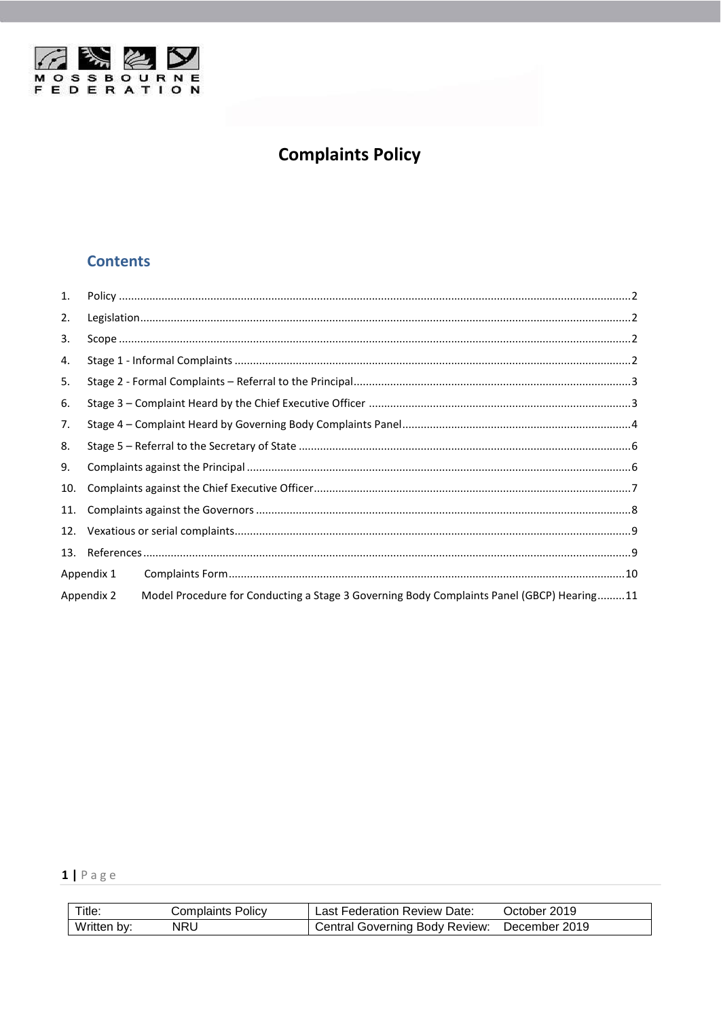

# **Complaints Policy**

# **Contents**

| 1.  |            |                                                                                           |  |
|-----|------------|-------------------------------------------------------------------------------------------|--|
| 2.  |            |                                                                                           |  |
| 3.  |            |                                                                                           |  |
| 4.  |            |                                                                                           |  |
| 5.  |            |                                                                                           |  |
| 6.  |            |                                                                                           |  |
| 7.  |            |                                                                                           |  |
| 8.  |            |                                                                                           |  |
| 9.  |            |                                                                                           |  |
| 10. |            |                                                                                           |  |
| 11. |            |                                                                                           |  |
| 12. |            |                                                                                           |  |
| 13. |            |                                                                                           |  |
|     | Appendix 1 |                                                                                           |  |
|     | Appendix 2 | Model Procedure for Conducting a Stage 3 Governing Body Complaints Panel (GBCP) Hearing11 |  |

# $1 | P \text{age}$

| Title:      | Complaints Policv_ | Last Federation Review Date:   | October 2019  |
|-------------|--------------------|--------------------------------|---------------|
| Written by: | NRU                | Central Governing Body Review: | December 2019 |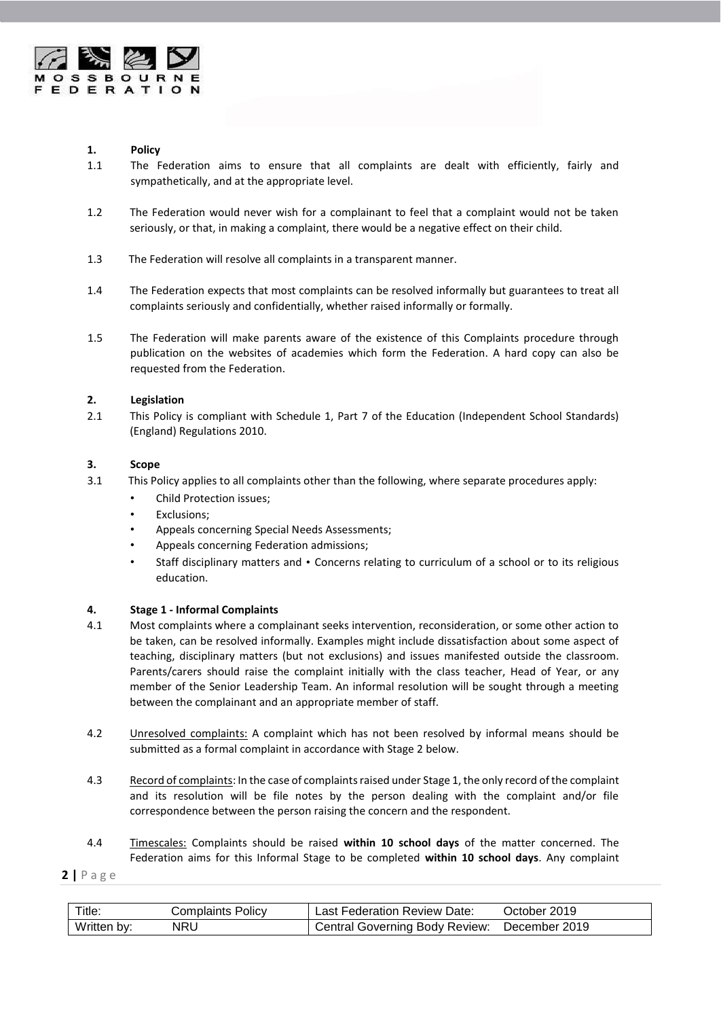

# <span id="page-1-0"></span> **1. Policy**

- 1.1 The Federation aims to ensure that all complaints are dealt with efficiently, fairly and sympathetically, and at the appropriate level.
- 1.2 The Federation would never wish for a complainant to feel that a complaint would not be taken seriously, or that, in making a complaint, there would be a negative effect on their child.
- 1.3 The Federation will resolve all complaints in a transparent manner.
- 1.4 The Federation expects that most complaints can be resolved informally but guarantees to treat all complaints seriously and confidentially, whether raised informally or formally.
- 1.5 The Federation will make parents aware of the existence of this Complaints procedure through publication on the websites of academies which form the Federation. A hard copy can also be requested from the Federation.

# <span id="page-1-1"></span>**2. Legislation**

2.1 This Policy is compliant with Schedule 1, Part 7 of the Education (Independent School Standards) (England) Regulations 2010.

# <span id="page-1-2"></span>**3. Scope**

- 3.1 This Policy applies to all complaints other than the following, where separate procedures apply:
	- Child Protection issues;
	- Exclusions;
	- Appeals concerning Special Needs Assessments;
	- Appeals concerning Federation admissions;
	- Staff disciplinary matters and Concerns relating to curriculum of a school or to its religious education.

# <span id="page-1-3"></span>**4. Stage 1 - Informal Complaints**

- 4.1 Most complaints where a complainant seeks intervention, reconsideration, or some other action to be taken, can be resolved informally. Examples might include dissatisfaction about some aspect of teaching, disciplinary matters (but not exclusions) and issues manifested outside the classroom. Parents/carers should raise the complaint initially with the class teacher, Head of Year, or any member of the Senior Leadership Team. An informal resolution will be sought through a meeting between the complainant and an appropriate member of staff.
- 4.2 Unresolved complaints: A complaint which has not been resolved by informal means should be submitted as a formal complaint in accordance with Stage 2 below.
- 4.3 Record of complaints: In the case of complaints raised under Stage 1, the only record of the complaint and its resolution will be file notes by the person dealing with the complaint and/or file correspondence between the person raising the concern and the respondent.
- 4.4 Timescales: Complaints should be raised **within 10 school days** of the matter concerned. The Federation aims for this Informal Stage to be completed **within 10 school days**. Any complaint

| Title:      | Complaints Policv | <b>Last Federation Review Date:</b>   | October 2019  |
|-------------|-------------------|---------------------------------------|---------------|
| Written by: | NRL               | <b>Central Governing Body Review:</b> | December 2019 |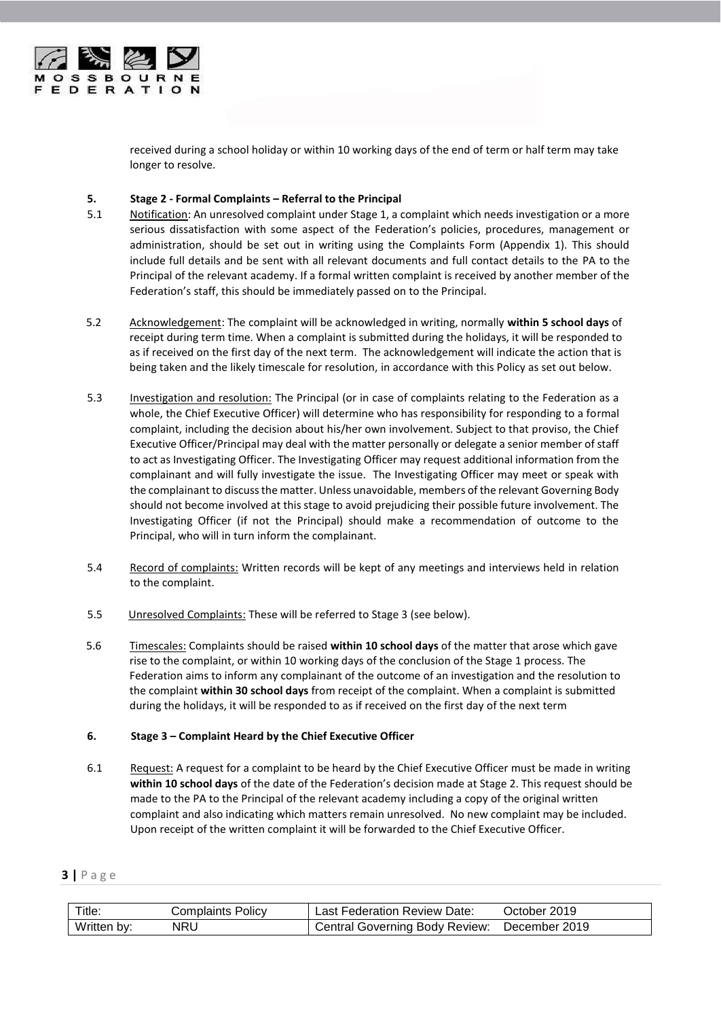

received during a school holiday or within 10 working days of the end of term or half term may take longer to resolve.

# <span id="page-2-0"></span>**5. Stage 2 - Formal Complaints – Referral to the Principal**

- 5.1 Notification: An unresolved complaint under Stage 1, a complaint which needs investigation or a more serious dissatisfaction with some aspect of the Federation's policies, procedures, management or administration, should be set out in writing using the Complaints Form (Appendix 1). This should include full details and be sent with all relevant documents and full contact details to the PA to the Principal of the relevant academy. If a formal written complaint is received by another member of the Federation's staff, this should be immediately passed on to the Principal.
- 5.2 Acknowledgement: The complaint will be acknowledged in writing, normally **within 5 school days** of receipt during term time. When a complaint is submitted during the holidays, it will be responded to as if received on the first day of the next term. The acknowledgement will indicate the action that is being taken and the likely timescale for resolution, in accordance with this Policy as set out below.
- 5.3 Investigation and resolution: The Principal (or in case of complaints relating to the Federation as a whole, the Chief Executive Officer) will determine who has responsibility for responding to a formal complaint, including the decision about his/her own involvement. Subject to that proviso, the Chief Executive Officer/Principal may deal with the matter personally or delegate a senior member of staff to act as Investigating Officer. The Investigating Officer may request additional information from the complainant and will fully investigate the issue. The Investigating Officer may meet or speak with the complainant to discuss the matter. Unless unavoidable, members of the relevant Governing Body should not become involved at this stage to avoid prejudicing their possible future involvement. The Investigating Officer (if not the Principal) should make a recommendation of outcome to the Principal, who will in turn inform the complainant.
- 5.4 Record of complaints: Written records will be kept of any meetings and interviews held in relation to the complaint.
- 5.5 Unresolved Complaints: These will be referred to Stage 3 (see below).
- 5.6 Timescales: Complaints should be raised **within 10 school days** of the matter that arose which gave rise to the complaint, or within 10 working days of the conclusion of the Stage 1 process. The Federation aims to inform any complainant of the outcome of an investigation and the resolution to the complaint **within 30 school days** from receipt of the complaint. When a complaint is submitted during the holidays, it will be responded to as if received on the first day of the next term

# <span id="page-2-1"></span>**6. Stage 3 – Complaint Heard by the Chief Executive Officer**

6.1 Request: A request for a complaint to be heard by the Chief Executive Officer must be made in writing **within 10 school days** of the date of the Federation's decision made at Stage 2. This request should be made to the PA to the Principal of the relevant academy including a copy of the original written complaint and also indicating which matters remain unresolved. No new complaint may be included. Upon receipt of the written complaint it will be forwarded to the Chief Executive Officer.

| Title.      | Complaints Policv | Last Federation Review Date:   | October 2019  |
|-------------|-------------------|--------------------------------|---------------|
| Written by: | NRU               | Central Governing Body Review: | December 2019 |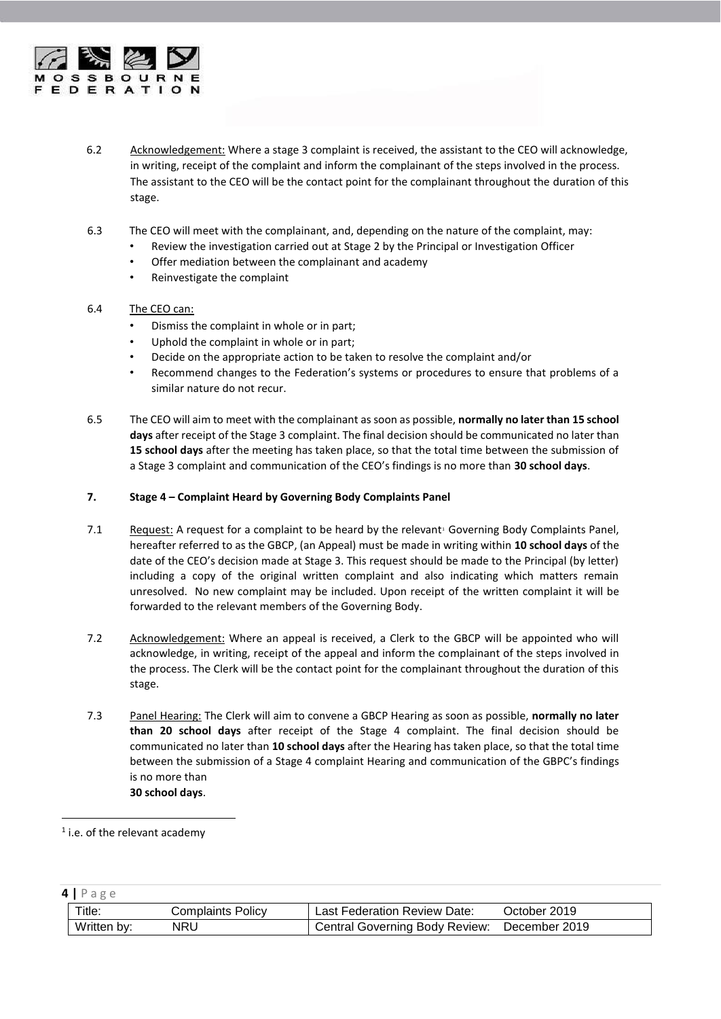

- 6.2 Acknowledgement: Where a stage 3 complaint is received, the assistant to the CEO will acknowledge, in writing, receipt of the complaint and inform the complainant of the steps involved in the process. The assistant to the CEO will be the contact point for the complainant throughout the duration of this stage.
- 6.3 The CEO will meet with the complainant, and, depending on the nature of the complaint, may:
	- Review the investigation carried out at Stage 2 by the Principal or Investigation Officer
	- Offer mediation between the complainant and academy
	- Reinvestigate the complaint
- 6.4 The CEO can:
	- Dismiss the complaint in whole or in part;
	- Uphold the complaint in whole or in part;
	- Decide on the appropriate action to be taken to resolve the complaint and/or
	- Recommend changes to the Federation's systems or procedures to ensure that problems of a similar nature do not recur.
- 6.5 The CEO will aim to meet with the complainant as soon as possible, **normally no later than 15 school days** after receipt of the Stage 3 complaint. The final decision should be communicated no later than **15 school days** after the meeting has taken place, so that the total time between the submission of a Stage 3 complaint and communication of the CEO's findings is no more than **30 school days**.

# <span id="page-3-0"></span>**7. Stage 4 – Complaint Heard by Governing Body Complaints Panel**

- 7.1 Request: A request for a complaint to be heard by the relevant<sup>1</sup> Governing Body Complaints Panel, hereafter referred to as the GBCP, (an Appeal) must be made in writing within **10 school days** of the date of the CEO's decision made at Stage 3. This request should be made to the Principal (by letter) including a copy of the original written complaint and also indicating which matters remain unresolved. No new complaint may be included. Upon receipt of the written complaint it will be forwarded to the relevant members of the Governing Body.
- 7.2 Acknowledgement: Where an appeal is received, a Clerk to the GBCP will be appointed who will acknowledge, in writing, receipt of the appeal and inform the complainant of the steps involved in the process. The Clerk will be the contact point for the complainant throughout the duration of this stage.
- 7.3 Panel Hearing: The Clerk will aim to convene a GBCP Hearing as soon as possible, **normally no later than 20 school days** after receipt of the Stage 4 complaint. The final decision should be communicated no later than **10 school days** after the Hearing has taken place, so that the total time between the submission of a Stage 4 complaint Hearing and communication of the GBPC's findings is no more than **30 school days**.

1

| 4 Page      |                          |                                              |              |  |  |
|-------------|--------------------------|----------------------------------------------|--------------|--|--|
| Title:      | <b>Complaints Policy</b> | Last Federation Review Date:                 | October 2019 |  |  |
| Written by: | NRU                      | Central Governing Body Review: December 2019 |              |  |  |

<sup>&</sup>lt;sup>1</sup> i.e. of the relevant academy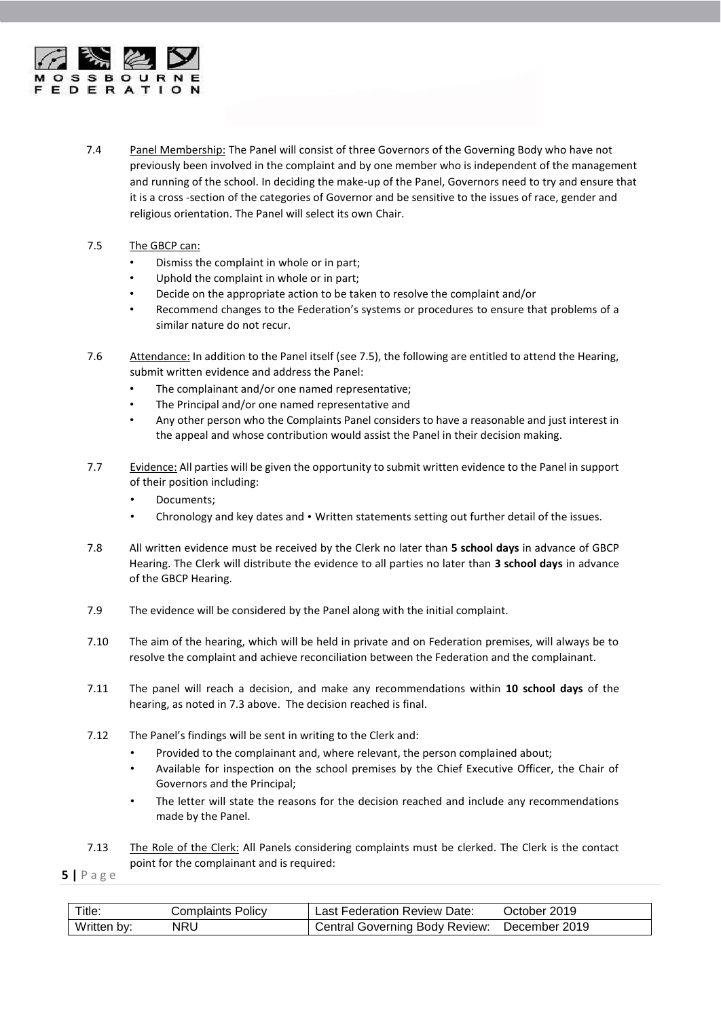

- 7.4 Panel Membership: The Panel will consist of three Governors of the Governing Body who have not previously been involved in the complaint and by one member who is independent of the management and running of the school. In deciding the make-up of the Panel, Governors need to try and ensure that it is a cross -section of the categories of Governor and be sensitive to the issues of race, gender and religious orientation. The Panel will select its own Chair.
- 7.5 The GBCP can:
	- Dismiss the complaint in whole or in part;
	- Uphold the complaint in whole or in part;
	- Decide on the appropriate action to be taken to resolve the complaint and/or
	- Recommend changes to the Federation's systems or procedures to ensure that problems of a similar nature do not recur.
- 7.6 Attendance: In addition to the Panel itself (see 7.5), the following are entitled to attend the Hearing, submit written evidence and address the Panel:
	- The complainant and/or one named representative;
	- The Principal and/or one named representative and
	- Any other person who the Complaints Panel considers to have a reasonable and just interest in the appeal and whose contribution would assist the Panel in their decision making.
- 7.7 Evidence: All parties will be given the opportunity to submit written evidence to the Panel in support of their position including:
	- Documents;
	- Chronology and key dates and Written statements setting out further detail of the issues.
- 7.8 All written evidence must be received by the Clerk no later than **5 school days** in advance of GBCP Hearing. The Clerk will distribute the evidence to all parties no later than **3 school days** in advance of the GBCP Hearing.
- 7.9 The evidence will be considered by the Panel along with the initial complaint.
- 7.10 The aim of the hearing, which will be held in private and on Federation premises, will always be to resolve the complaint and achieve reconciliation between the Federation and the complainant.
- 7.11 The panel will reach a decision, and make any recommendations within **10 school days** of the hearing, as noted in 7.3 above. The decision reached is final.
- 7.12 The Panel's findings will be sent in writing to the Clerk and:
	- Provided to the complainant and, where relevant, the person complained about;
	- Available for inspection on the school premises by the Chief Executive Officer, the Chair of Governors and the Principal;
	- The letter will state the reasons for the decision reached and include any recommendations made by the Panel.

7.13 The Role of the Clerk: All Panels considering complaints must be clerked. The Clerk is the contact point for the complainant and is required:

| Title:      | Complaints Policv | Last Federation Review Date:          | October 2019  |
|-------------|-------------------|---------------------------------------|---------------|
| Written by: | <b>NRL</b>        | <b>Central Governing Body Review:</b> | December 2019 |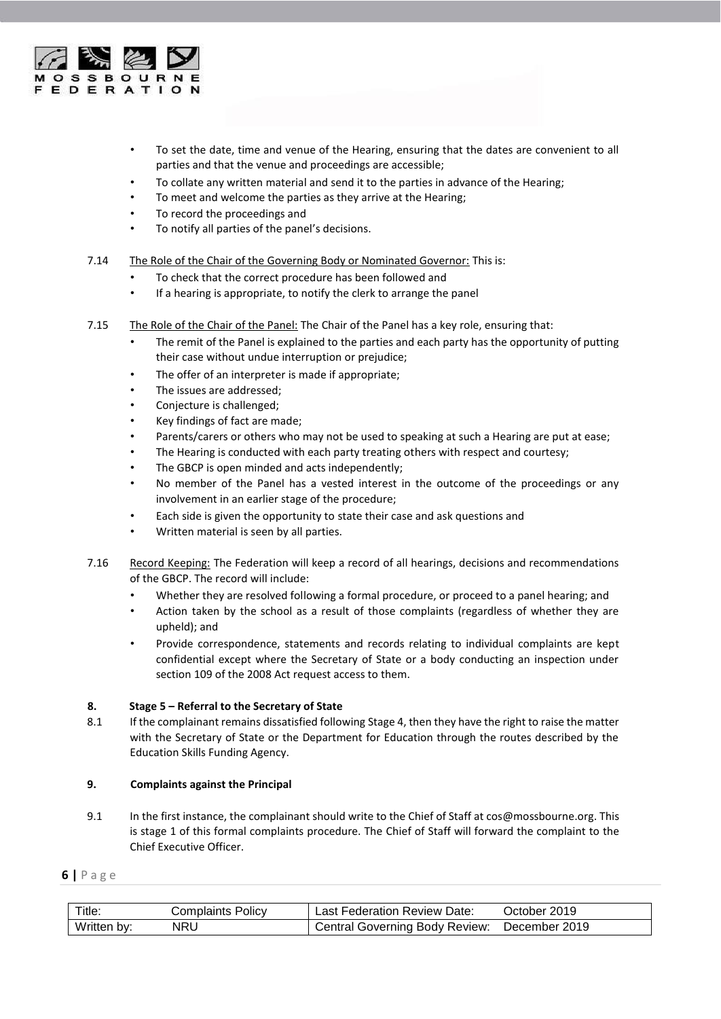

- To set the date, time and venue of the Hearing, ensuring that the dates are convenient to all parties and that the venue and proceedings are accessible;
- To collate any written material and send it to the parties in advance of the Hearing;
- To meet and welcome the parties as they arrive at the Hearing;
- To record the proceedings and
- To notify all parties of the panel's decisions.
- 7.14 The Role of the Chair of the Governing Body or Nominated Governor: This is:
	- To check that the correct procedure has been followed and
	- If a hearing is appropriate, to notify the clerk to arrange the panel
- 7.15 The Role of the Chair of the Panel: The Chair of the Panel has a key role, ensuring that:
	- The remit of the Panel is explained to the parties and each party has the opportunity of putting their case without undue interruption or prejudice;
	- The offer of an interpreter is made if appropriate;
	- The issues are addressed;
	- Conjecture is challenged;
	- Key findings of fact are made;
	- Parents/carers or others who may not be used to speaking at such a Hearing are put at ease;
	- The Hearing is conducted with each party treating others with respect and courtesy;
	- The GBCP is open minded and acts independently;
	- No member of the Panel has a vested interest in the outcome of the proceedings or any involvement in an earlier stage of the procedure;
	- Each side is given the opportunity to state their case and ask questions and
	- Written material is seen by all parties.
- 7.16 Record Keeping: The Federation will keep a record of all hearings, decisions and recommendations of the GBCP. The record will include:
	- Whether they are resolved following a formal procedure, or proceed to a panel hearing; and
	- Action taken by the school as a result of those complaints (regardless of whether they are upheld); and
	- Provide correspondence, statements and records relating to individual complaints are kept confidential except where the Secretary of State or a body conducting an inspection under section 109 of the 2008 Act request access to them.

#### <span id="page-5-0"></span>**8. Stage 5 – Referral to the Secretary of State**

8.1 If the complainant remains dissatisfied following Stage 4, then they have the right to raise the matter with the Secretary of State or the Department for Education through the routes described by the Education Skills Funding Agency.

#### <span id="page-5-1"></span>**9. Complaints against the Principal**

9.1 In the first instance, the complainant should write to the Chief of Staff at cos@mossbourne.org. This is stage 1 of this formal complaints procedure. The Chief of Staff will forward the complaint to the Chief Executive Officer.

| Title:      | Complaints Policy | Last Federation Review Date:          | October 2019  |
|-------------|-------------------|---------------------------------------|---------------|
| Written by: | NRL               | <b>Central Governing Body Review:</b> | December 2019 |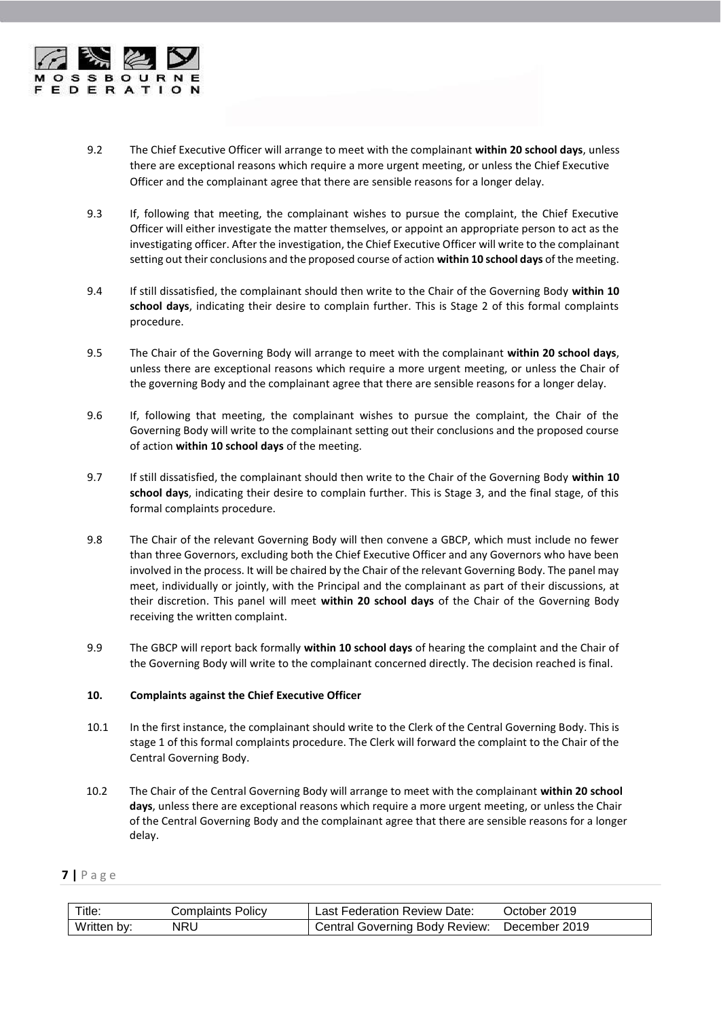

- 9.2 The Chief Executive Officer will arrange to meet with the complainant **within 20 school days**, unless there are exceptional reasons which require a more urgent meeting, or unless the Chief Executive Officer and the complainant agree that there are sensible reasons for a longer delay.
- 9.3 If, following that meeting, the complainant wishes to pursue the complaint, the Chief Executive Officer will either investigate the matter themselves, or appoint an appropriate person to act as the investigating officer. After the investigation, the Chief Executive Officer will write to the complainant setting out their conclusions and the proposed course of action **within 10 school days** of the meeting.
- 9.4 If still dissatisfied, the complainant should then write to the Chair of the Governing Body **within 10 school days**, indicating their desire to complain further. This is Stage 2 of this formal complaints procedure.
- 9.5 The Chair of the Governing Body will arrange to meet with the complainant **within 20 school days**, unless there are exceptional reasons which require a more urgent meeting, or unless the Chair of the governing Body and the complainant agree that there are sensible reasons for a longer delay.
- 9.6 If, following that meeting, the complainant wishes to pursue the complaint, the Chair of the Governing Body will write to the complainant setting out their conclusions and the proposed course of action **within 10 school days** of the meeting.
- 9.7 If still dissatisfied, the complainant should then write to the Chair of the Governing Body **within 10 school days**, indicating their desire to complain further. This is Stage 3, and the final stage, of this formal complaints procedure.
- 9.8 The Chair of the relevant Governing Body will then convene a GBCP, which must include no fewer than three Governors, excluding both the Chief Executive Officer and any Governors who have been involved in the process. It will be chaired by the Chair of the relevant Governing Body. The panel may meet, individually or jointly, with the Principal and the complainant as part of their discussions, at their discretion. This panel will meet **within 20 school days** of the Chair of the Governing Body receiving the written complaint.
- 9.9 The GBCP will report back formally **within 10 school days** of hearing the complaint and the Chair of the Governing Body will write to the complainant concerned directly. The decision reached is final.

# <span id="page-6-0"></span>**10. Complaints against the Chief Executive Officer**

- 10.1 In the first instance, the complainant should write to the Clerk of the Central Governing Body. This is stage 1 of this formal complaints procedure. The Clerk will forward the complaint to the Chair of the Central Governing Body.
- 10.2 The Chair of the Central Governing Body will arrange to meet with the complainant **within 20 school days**, unless there are exceptional reasons which require a more urgent meeting, or unless the Chair of the Central Governing Body and the complainant agree that there are sensible reasons for a longer delay.

| Title.      | Complaints Policy | Last Federation Review Date:   | October 2019  |
|-------------|-------------------|--------------------------------|---------------|
| Written by: | NRU               | Central Governing Body Review: | December 2019 |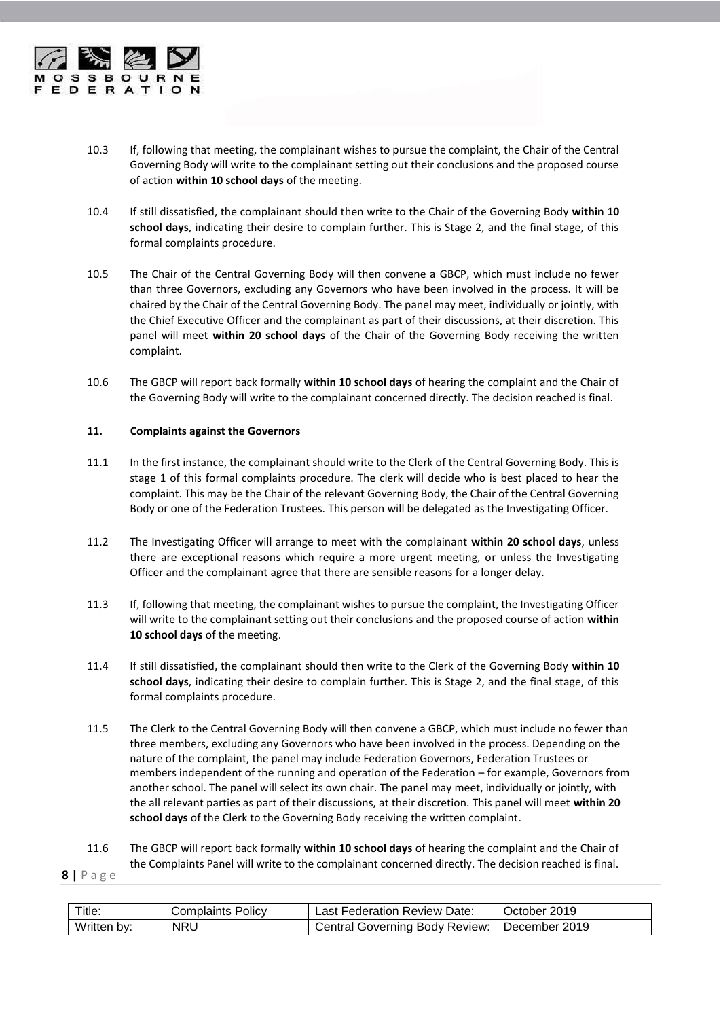

- 10.3 If, following that meeting, the complainant wishes to pursue the complaint, the Chair of the Central Governing Body will write to the complainant setting out their conclusions and the proposed course of action **within 10 school days** of the meeting.
- 10.4 If still dissatisfied, the complainant should then write to the Chair of the Governing Body **within 10 school days**, indicating their desire to complain further. This is Stage 2, and the final stage, of this formal complaints procedure.
- 10.5 The Chair of the Central Governing Body will then convene a GBCP, which must include no fewer than three Governors, excluding any Governors who have been involved in the process. It will be chaired by the Chair of the Central Governing Body. The panel may meet, individually or jointly, with the Chief Executive Officer and the complainant as part of their discussions, at their discretion. This panel will meet **within 20 school days** of the Chair of the Governing Body receiving the written complaint.
- 10.6 The GBCP will report back formally **within 10 school days** of hearing the complaint and the Chair of the Governing Body will write to the complainant concerned directly. The decision reached is final.

# <span id="page-7-0"></span>**11. Complaints against the Governors**

- 11.1 In the first instance, the complainant should write to the Clerk of the Central Governing Body. This is stage 1 of this formal complaints procedure. The clerk will decide who is best placed to hear the complaint. This may be the Chair of the relevant Governing Body, the Chair of the Central Governing Body or one of the Federation Trustees. This person will be delegated as the Investigating Officer.
- 11.2 The Investigating Officer will arrange to meet with the complainant **within 20 school days**, unless there are exceptional reasons which require a more urgent meeting, or unless the Investigating Officer and the complainant agree that there are sensible reasons for a longer delay.
- 11.3 If, following that meeting, the complainant wishes to pursue the complaint, the Investigating Officer will write to the complainant setting out their conclusions and the proposed course of action **within 10 school days** of the meeting.
- 11.4 If still dissatisfied, the complainant should then write to the Clerk of the Governing Body **within 10 school days**, indicating their desire to complain further. This is Stage 2, and the final stage, of this formal complaints procedure.
- 11.5 The Clerk to the Central Governing Body will then convene a GBCP, which must include no fewer than three members, excluding any Governors who have been involved in the process. Depending on the nature of the complaint, the panel may include Federation Governors, Federation Trustees or members independent of the running and operation of the Federation – for example, Governors from another school. The panel will select its own chair. The panel may meet, individually or jointly, with the all relevant parties as part of their discussions, at their discretion. This panel will meet **within 20 school days** of the Clerk to the Governing Body receiving the written complaint.

11.6 The GBCP will report back formally **within 10 school days** of hearing the complaint and the Chair of the Complaints Panel will write to the complainant concerned directly. The decision reached is final.

| Title.      | Complaints Policy | Last Federation Review Date:   | October 2019  |
|-------------|-------------------|--------------------------------|---------------|
| Written by: | NRL               | Central Governing Body Review: | December 2019 |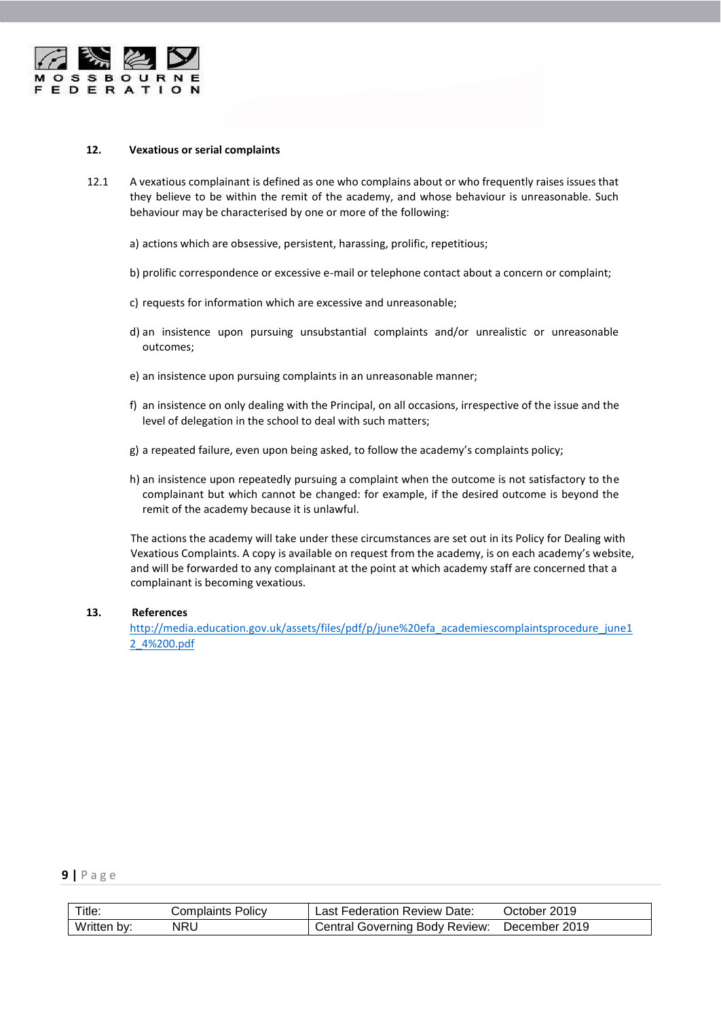

#### <span id="page-8-0"></span>**12. Vexatious or serial complaints**

- 12.1 A vexatious complainant is defined as one who complains about or who frequently raises issues that they believe to be within the remit of the academy, and whose behaviour is unreasonable. Such behaviour may be characterised by one or more of the following:
	- a) actions which are obsessive, persistent, harassing, prolific, repetitious;
	- b) prolific correspondence or excessive e-mail or telephone contact about a concern or complaint;
	- c) requests for information which are excessive and unreasonable;
	- d) an insistence upon pursuing unsubstantial complaints and/or unrealistic or unreasonable outcomes;
	- e) an insistence upon pursuing complaints in an unreasonable manner;
	- f) an insistence on only dealing with the Principal, on all occasions, irrespective of the issue and the level of delegation in the school to deal with such matters;
	- g) a repeated failure, even upon being asked, to follow the academy's complaints policy;
	- h) an insistence upon repeatedly pursuing a complaint when the outcome is not satisfactory to the complainant but which cannot be changed: for example, if the desired outcome is beyond the remit of the academy because it is unlawful.

The actions the academy will take under these circumstances are set out in its Policy for Dealing with Vexatious Complaints. A copy is available on request from the academy, is on each academy's website, and will be forwarded to any complainant at the point at which academy staff are concerned that a complainant is becoming vexatious.

## <span id="page-8-1"></span>**13. References**

[http://media.education.gov.uk/assets/files/pdf/p/june%20efa\\_academiescomplaintsprocedure\\_june1](http://media.education.gov.uk/assets/files/pdf/p/june%20efa_academiescomplaintsprocedure_june12_4%200.pdf) [2\\_4%200.pdf](http://media.education.gov.uk/assets/files/pdf/p/june%20efa_academiescomplaintsprocedure_june12_4%200.pdf)

| Title:      | Complaints Policv | Last Federation Review Date:          | October 2019  |
|-------------|-------------------|---------------------------------------|---------------|
| Written by: | NRU               | <b>Central Governing Body Review:</b> | December 2019 |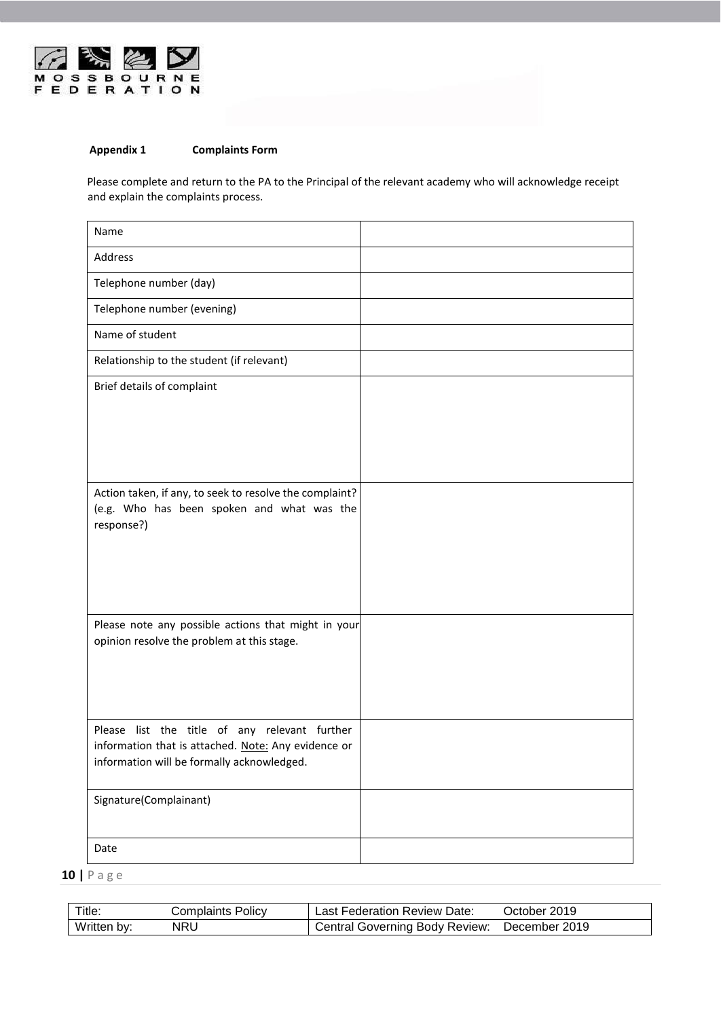

# <span id="page-9-0"></span>**Appendix 1 Complaints Form**

Please complete and return to the PA to the Principal of the relevant academy who will acknowledge receipt and explain the complaints process.

| Name                                                                                                                                               |  |
|----------------------------------------------------------------------------------------------------------------------------------------------------|--|
| Address                                                                                                                                            |  |
| Telephone number (day)                                                                                                                             |  |
| Telephone number (evening)                                                                                                                         |  |
| Name of student                                                                                                                                    |  |
| Relationship to the student (if relevant)                                                                                                          |  |
| Brief details of complaint                                                                                                                         |  |
|                                                                                                                                                    |  |
| Action taken, if any, to seek to resolve the complaint?<br>(e.g. Who has been spoken and what was the<br>response?)                                |  |
| Please note any possible actions that might in your<br>opinion resolve the problem at this stage.                                                  |  |
| Please list the title of any relevant further<br>information that is attached. Note: Any evidence or<br>information will be formally acknowledged. |  |
| Signature(Complainant)                                                                                                                             |  |
| Date                                                                                                                                               |  |

| Title:      | Complaints Policv | Last Federation Review Date:          | October 2019  |
|-------------|-------------------|---------------------------------------|---------------|
| Written by: | NRU               | <b>Central Governing Body Review:</b> | December 2019 |